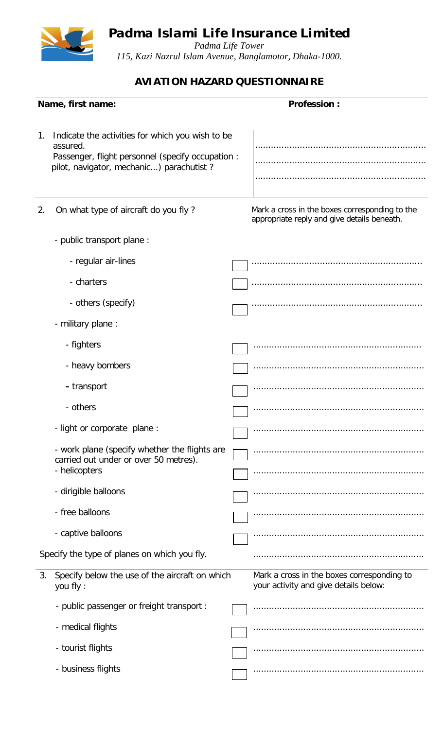*Padma Islami Life Insurance Limited*



*Padma Life Tower 115, Kazi Nazrul Islam Avenue, Banglamotor, Dhaka-1000.*

## **AVIATION HAZARD QUESTIONNAIRE**

| Name, first name:                            |                                                                                                                                                               | <b>Profession:</b> |                                                                                               |  |  |
|----------------------------------------------|---------------------------------------------------------------------------------------------------------------------------------------------------------------|--------------------|-----------------------------------------------------------------------------------------------|--|--|
|                                              |                                                                                                                                                               |                    |                                                                                               |  |  |
| 1.                                           | Indicate the activities for which you wish to be<br>assured.<br>Passenger, flight personnel (specify occupation :<br>pilot, navigator, mechanic) parachutist? |                    |                                                                                               |  |  |
|                                              |                                                                                                                                                               |                    |                                                                                               |  |  |
| 2.                                           | On what type of aircraft do you fly?                                                                                                                          |                    | Mark a cross in the boxes corresponding to the<br>appropriate reply and give details beneath. |  |  |
|                                              | - public transport plane :                                                                                                                                    |                    |                                                                                               |  |  |
|                                              | - regular air-lines                                                                                                                                           |                    |                                                                                               |  |  |
|                                              | - charters                                                                                                                                                    |                    |                                                                                               |  |  |
|                                              | - others (specify)                                                                                                                                            |                    |                                                                                               |  |  |
|                                              | - military plane :                                                                                                                                            |                    |                                                                                               |  |  |
|                                              | - fighters                                                                                                                                                    |                    |                                                                                               |  |  |
|                                              | - heavy bombers                                                                                                                                               |                    |                                                                                               |  |  |
|                                              | - transport                                                                                                                                                   |                    |                                                                                               |  |  |
|                                              | - others                                                                                                                                                      |                    |                                                                                               |  |  |
|                                              | - light or corporate plane :                                                                                                                                  |                    |                                                                                               |  |  |
|                                              | - work plane (specify whether the flights are<br>carried out under or over 50 metres).<br>- helicopters                                                       |                    |                                                                                               |  |  |
|                                              | - dirigible balloons                                                                                                                                          |                    |                                                                                               |  |  |
|                                              | - free balloons                                                                                                                                               |                    |                                                                                               |  |  |
|                                              |                                                                                                                                                               |                    |                                                                                               |  |  |
|                                              | - captive balloons                                                                                                                                            |                    |                                                                                               |  |  |
| Specify the type of planes on which you fly. |                                                                                                                                                               |                    |                                                                                               |  |  |
| 3.                                           | Specify below the use of the aircraft on which<br>you fly:                                                                                                    |                    | Mark a cross in the boxes corresponding to<br>your activity and give details below:           |  |  |
|                                              | - public passenger or freight transport :                                                                                                                     |                    |                                                                                               |  |  |
|                                              | - medical flights                                                                                                                                             |                    |                                                                                               |  |  |
|                                              | - tourist flights                                                                                                                                             |                    |                                                                                               |  |  |
|                                              | - business flights                                                                                                                                            |                    |                                                                                               |  |  |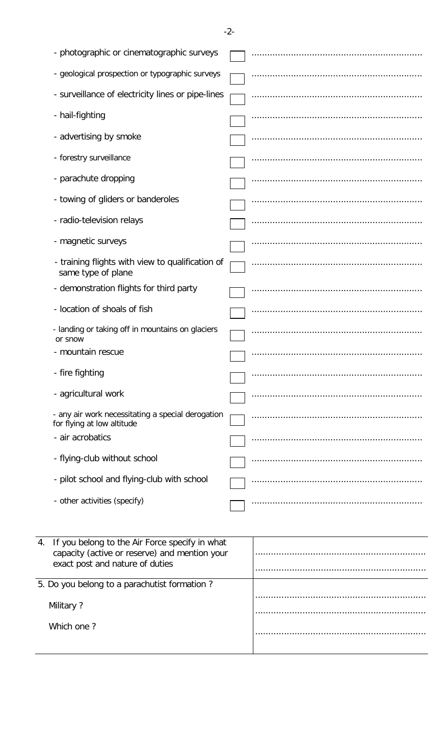$-2-$ 

|                                              | - photographic or cinematographic surveys                                                                                          |  |  |
|----------------------------------------------|------------------------------------------------------------------------------------------------------------------------------------|--|--|
|                                              | - geological prospection or typographic surveys                                                                                    |  |  |
|                                              | - surveillance of electricity lines or pipe-lines                                                                                  |  |  |
|                                              | - hail-fighting                                                                                                                    |  |  |
|                                              | - advertising by smoke                                                                                                             |  |  |
|                                              | - forestry surveillance                                                                                                            |  |  |
|                                              | - parachute dropping                                                                                                               |  |  |
|                                              | - towing of gliders or banderoles                                                                                                  |  |  |
|                                              | - radio-television relays                                                                                                          |  |  |
|                                              | - magnetic surveys                                                                                                                 |  |  |
|                                              | - training flights with view to qualification of<br>same type of plane                                                             |  |  |
|                                              | - demonstration flights for third party                                                                                            |  |  |
|                                              | - location of shoals of fish                                                                                                       |  |  |
|                                              | - landing or taking off in mountains on glaciers<br>or snow                                                                        |  |  |
|                                              | - mountain rescue                                                                                                                  |  |  |
|                                              | - fire fighting                                                                                                                    |  |  |
|                                              | - agricultural work                                                                                                                |  |  |
|                                              | - any air work necessitating a special derogation<br>for flying at low altitude                                                    |  |  |
|                                              | - air acrobatics                                                                                                                   |  |  |
|                                              | - flying-club without school                                                                                                       |  |  |
|                                              | - pilot school and flying-club with school                                                                                         |  |  |
|                                              | - other activities (specify)                                                                                                       |  |  |
|                                              |                                                                                                                                    |  |  |
| 4.                                           | If you belong to the Air Force specify in what<br>capacity (active or reserve) and mention your<br>exact post and nature of duties |  |  |
| 5. Do you belong to a parachutist formation? |                                                                                                                                    |  |  |
| Military?                                    |                                                                                                                                    |  |  |
|                                              |                                                                                                                                    |  |  |

Which one?